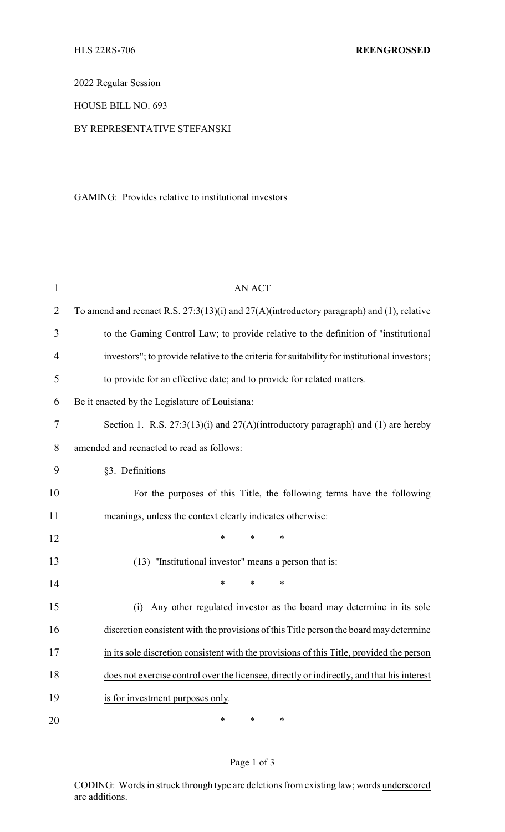2022 Regular Session

HOUSE BILL NO. 693

## BY REPRESENTATIVE STEFANSKI

GAMING: Provides relative to institutional investors

| $\mathbf 1$    | <b>AN ACT</b>                                                                                 |  |  |
|----------------|-----------------------------------------------------------------------------------------------|--|--|
| $\overline{2}$ | To amend and reenact R.S. $27:3(13)(i)$ and $27(A)(introductory paragraph)$ and (1), relative |  |  |
| 3              | to the Gaming Control Law; to provide relative to the definition of "institutional            |  |  |
| 4              | investors"; to provide relative to the criteria for suitability for institutional investors;  |  |  |
| 5              | to provide for an effective date; and to provide for related matters.                         |  |  |
| 6              | Be it enacted by the Legislature of Louisiana:                                                |  |  |
| 7              | Section 1. R.S. $27:3(13)(i)$ and $27(A)(introductory paragraph)$ and (1) are hereby          |  |  |
| 8              | amended and reenacted to read as follows:                                                     |  |  |
| 9              | §3. Definitions                                                                               |  |  |
| 10             | For the purposes of this Title, the following terms have the following                        |  |  |
| 11             | meanings, unless the context clearly indicates otherwise:                                     |  |  |
| 12             | *<br>$\ast$<br>*                                                                              |  |  |
| 13             | (13) "Institutional investor" means a person that is:                                         |  |  |
| 14             | $\ast$<br>*<br>$\ast$                                                                         |  |  |
| 15             | (i) Any other regulated investor as the board may determine in its sole                       |  |  |
| 16             | discretion consistent with the provisions of this Title person the board may determine        |  |  |
| 17             | in its sole discretion consistent with the provisions of this Title, provided the person      |  |  |
| 18             | does not exercise control over the licensee, directly or indirectly, and that his interest    |  |  |
| 19             | is for investment purposes only.                                                              |  |  |
| 20             | $\ast$<br>$\ast$<br>*                                                                         |  |  |

## Page 1 of 3

CODING: Words in struck through type are deletions from existing law; words underscored are additions.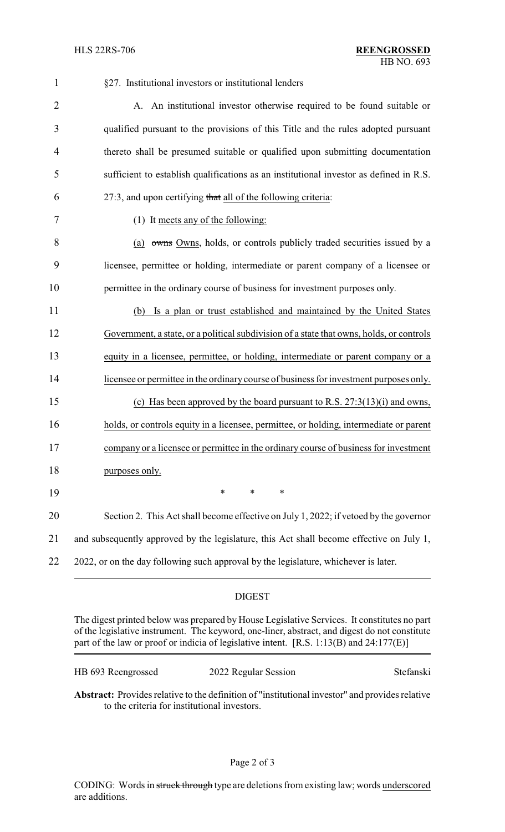| $\mathbf{1}$   | §27. Institutional investors or institutional lenders                                    |  |
|----------------|------------------------------------------------------------------------------------------|--|
| $\overline{2}$ | A. An institutional investor otherwise required to be found suitable or                  |  |
| 3              | qualified pursuant to the provisions of this Title and the rules adopted pursuant        |  |
| 4              | thereto shall be presumed suitable or qualified upon submitting documentation            |  |
| 5              | sufficient to establish qualifications as an institutional investor as defined in R.S.   |  |
| 6              | 27:3, and upon certifying that all of the following criteria:                            |  |
| 7              | (1) It meets any of the following:                                                       |  |
| 8              | (a) owns Owns, holds, or controls publicly traded securities issued by a                 |  |
| 9              | licensee, permittee or holding, intermediate or parent company of a licensee or          |  |
| 10             | permittee in the ordinary course of business for investment purposes only.               |  |
| 11             | (b) Is a plan or trust established and maintained by the United States                   |  |
| 12             | Government, a state, or a political subdivision of a state that owns, holds, or controls |  |
| 13             | equity in a licensee, permittee, or holding, intermediate or parent company or a         |  |
| 14             | licensee or permittee in the ordinary course of business for investment purposes only.   |  |
| 15             | (c) Has been approved by the board pursuant to R.S. $27:3(13)(i)$ and owns,              |  |
| 16             | holds, or controls equity in a licensee, permittee, or holding, intermediate or parent   |  |
| 17             | company or a licensee or permittee in the ordinary course of business for investment     |  |
| 18             | purposes only.                                                                           |  |
| 19             | $\ast$<br>$\ast$<br>$\ast$                                                               |  |
| 20             | Section 2. This Act shall become effective on July 1, 2022; if vetoed by the governor    |  |
| 21             | and subsequently approved by the legislature, this Act shall become effective on July 1, |  |
| 22             | 2022, or on the day following such approval by the legislature, whichever is later.      |  |
|                |                                                                                          |  |

## DIGEST

The digest printed below was prepared by House Legislative Services. It constitutes no part of the legislative instrument. The keyword, one-liner, abstract, and digest do not constitute part of the law or proof or indicia of legislative intent. [R.S. 1:13(B) and 24:177(E)]

| HB 693 Reengrossed | 2022 Regular Session | Stefanski |
|--------------------|----------------------|-----------|
|--------------------|----------------------|-----------|

**Abstract:** Provides relative to the definition of "institutional investor" and provides relative to the criteria for institutional investors.